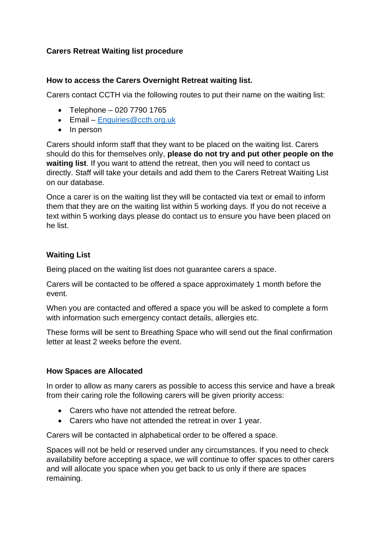# **Carers Retreat Waiting list procedure**

### **How to access the Carers Overnight Retreat waiting list.**

Carers contact CCTH via the following routes to put their name on the waiting list:

- Telephone 020 7790 1765
- Email [Enquiries@ccth.org.uk](mailto:Enquiries@ccth.org.uk)
- In person

Carers should inform staff that they want to be placed on the waiting list. Carers should do this for themselves only, **please do not try and put other people on the waiting list**. If you want to attend the retreat, then you will need to contact us directly. Staff will take your details and add them to the Carers Retreat Waiting List on our database.

Once a carer is on the waiting list they will be contacted via text or email to inform them that they are on the waiting list within 5 working days. If you do not receive a text within 5 working days please do contact us to ensure you have been placed on he list.

## **Waiting List**

Being placed on the waiting list does not guarantee carers a space.

Carers will be contacted to be offered a space approximately 1 month before the event.

When you are contacted and offered a space you will be asked to complete a form with information such emergency contact details, allergies etc.

These forms will be sent to Breathing Space who will send out the final confirmation letter at least 2 weeks before the event.

## **How Spaces are Allocated**

In order to allow as many carers as possible to access this service and have a break from their caring role the following carers will be given priority access:

- Carers who have not attended the retreat before.
- Carers who have not attended the retreat in over 1 year.

Carers will be contacted in alphabetical order to be offered a space.

Spaces will not be held or reserved under any circumstances. If you need to check availability before accepting a space, we will continue to offer spaces to other carers and will allocate you space when you get back to us only if there are spaces remaining.